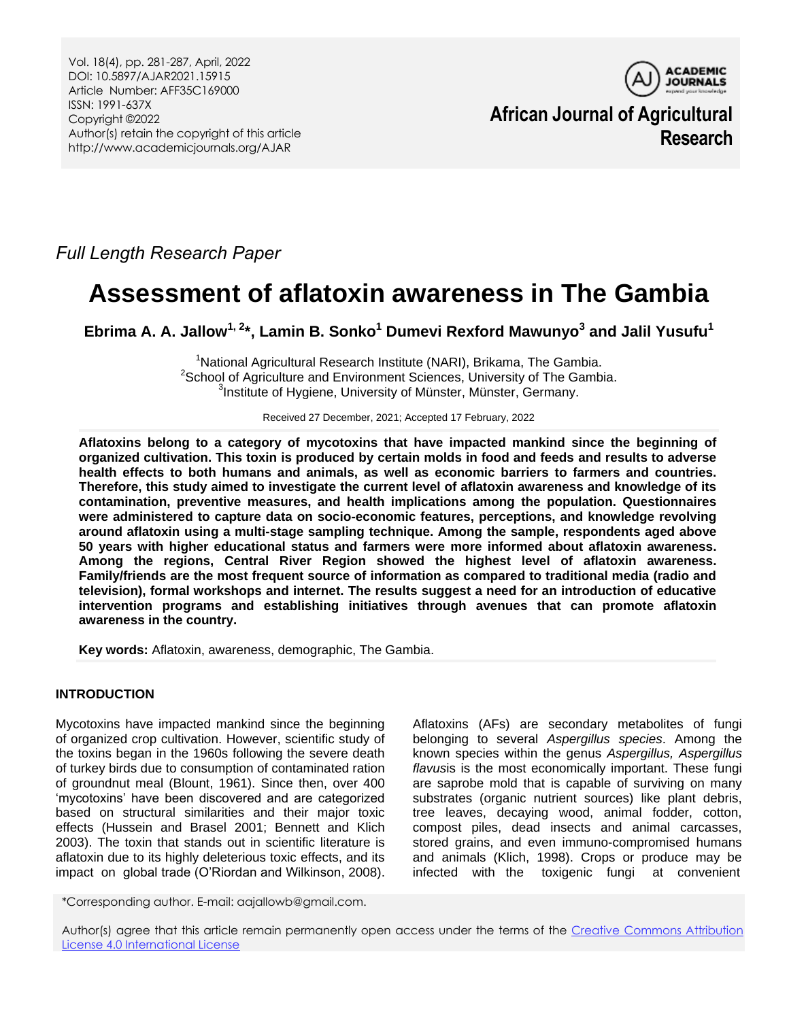Vol. 18(4), pp. 281-287, April, 2022 DOI: 10.5897/AJAR2021.15915 Article Number: AFF35C169000 ISSN: 1991-637X Copyright ©2022 Author(s) retain the copyright of this article http://www.academicjournals.org/AJAR



**African Journal of Agricultural Research**

*Full Length Research Paper*

# **Assessment of aflatoxin awareness in The Gambia**

**Ebrima A. A. Jallow1, 2\*, Lamin B. Sonko<sup>1</sup> Dumevi Rexford Mawunyo<sup>3</sup> and Jalil Yusufu<sup>1</sup>**

<sup>1</sup>National Agricultural Research Institute (NARI), Brikama, The Gambia. <sup>2</sup>School of Agriculture and Environment Sciences, University of The Gambia. <sup>3</sup>Institute of Hygiene, University of Münster, Münster, Germany.

Received 27 December, 2021; Accepted 17 February, 2022

**Aflatoxins belong to a category of mycotoxins that have impacted mankind since the beginning of organized cultivation. This toxin is produced by certain molds in food and feeds and results to adverse health effects to both humans and animals, as well as economic barriers to farmers and countries. Therefore, this study aimed to investigate the current level of aflatoxin awareness and knowledge of its contamination, preventive measures, and health implications among the population. Questionnaires were administered to capture data on socio-economic features, perceptions, and knowledge revolving around aflatoxin using a multi-stage sampling technique. Among the sample, respondents aged above 50 years with higher educational status and farmers were more informed about aflatoxin awareness. Among the regions, Central River Region showed the highest level of aflatoxin awareness. Family/friends are the most frequent source of information as compared to traditional media (radio and television), formal workshops and internet. The results suggest a need for an introduction of educative intervention programs and establishing initiatives through avenues that can promote aflatoxin awareness in the country.** 

**Key words:** Aflatoxin, awareness, demographic, The Gambia.

### **INTRODUCTION**

Mycotoxins have impacted mankind since the beginning of organized crop cultivation. However, scientific study of the toxins began in the 1960s following the severe death of turkey birds due to consumption of contaminated ration of groundnut meal (Blount, 1961). Since then, over 400 "mycotoxins" have been discovered and are categorized based on structural similarities and their major toxic effects (Hussein and Brasel 2001; Bennett and Klich 2003). The toxin that stands out in scientific literature is aflatoxin due to its highly deleterious toxic effects, and its impact on global trade (O"Riordan and Wilkinson, 2008). Aflatoxins (AFs) are secondary metabolites of fungi belonging to several *Aspergillus species*. Among the known species within the genus *Aspergillus, Aspergillus flavus*is is the most economically important. These fungi are saprobe mold that is capable of surviving on many substrates (organic nutrient sources) like plant debris, tree leaves, decaying wood, animal fodder, cotton, compost piles, dead insects and animal carcasses, stored grains, and even immuno-compromised humans and animals (Klich, 1998). Crops or produce may be infected with the toxigenic fungi at convenient

\*Corresponding author. E-mail: aajallowb@gmail.com.

Author(s) agree that this article remain permanently open access under the terms of the Creative Commons Attribution [License 4.0 International License](http://creativecommons.org/licenses/by/4.0/deed.en_US)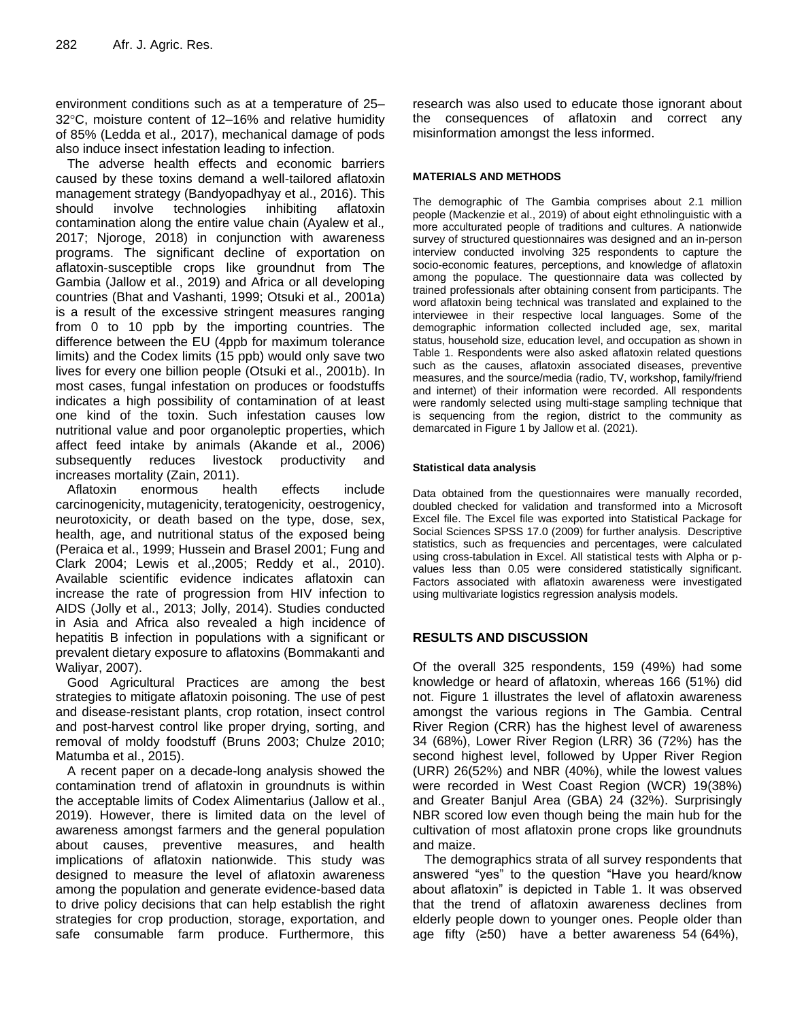environment conditions such as at a temperature of 25– 32°C, moisture content of 12–16% and relative humidity of 85% (Ledda et al.*,* 2017), mechanical damage of pods also induce insect infestation leading to infection.

The adverse health effects and economic barriers caused by these toxins demand a well-tailored aflatoxin management strategy (Bandyopadhyay et al., 2016). This should involve technologies inhibiting aflatoxin contamination along the entire value chain (Ayalew et al.*,* 2017; Njoroge, 2018) in conjunction with awareness programs. The significant decline of exportation on aflatoxin-susceptible crops like groundnut from The Gambia (Jallow et al., 2019) and Africa or all developing countries (Bhat and Vashanti, 1999; Otsuki et al.*,* 2001a) is a result of the excessive stringent measures ranging from 0 to 10 ppb by the importing countries. The difference between the EU (4ppb for maximum tolerance limits) and the Codex limits (15 ppb) would only save two lives for every one billion people (Otsuki et al., 2001b). In most cases, fungal infestation on produces or foodstuffs indicates a high possibility of contamination of at least one kind of the toxin. Such infestation causes low nutritional value and poor organoleptic properties, which affect feed intake by animals (Akande et al.*,* 2006) subsequently reduces livestock productivity and increases mortality (Zain, 2011).

Aflatoxin enormous health effects include carcinogenicity, mutagenicity, teratogenicity, oestrogenicy, neurotoxicity, or death based on the type, dose, sex, health, age, and nutritional status of the exposed being (Peraica et al., 1999; Hussein and Brasel 2001; Fung and Clark 2004; Lewis et al.,2005; Reddy et al., 2010). Available scientific evidence indicates aflatoxin can increase the rate of progression from HIV infection to AIDS (Jolly et al., 2013; Jolly, 2014). Studies conducted in Asia and Africa also revealed a high incidence of hepatitis B infection in populations with a significant or prevalent dietary exposure to aflatoxins (Bommakanti and Waliyar, 2007).

Good Agricultural Practices are among the best strategies to mitigate aflatoxin poisoning. The use of pest and disease-resistant plants, crop rotation, insect control and post-harvest control like proper drying, sorting, and removal of moldy foodstuff (Bruns 2003; Chulze 2010; Matumba et al., 2015).

A recent paper on a decade-long analysis showed the contamination trend of aflatoxin in groundnuts is within the acceptable limits of Codex Alimentarius (Jallow et al., 2019). However, there is limited data on the level of awareness amongst farmers and the general population about causes, preventive measures, and health implications of aflatoxin nationwide. This study was designed to measure the level of aflatoxin awareness among the population and generate evidence-based data to drive policy decisions that can help establish the right strategies for crop production, storage, exportation, and safe consumable farm produce. Furthermore, this research was also used to educate those ignorant about the consequences of aflatoxin and correct any misinformation amongst the less informed.

#### **MATERIALS AND METHODS**

The demographic of The Gambia comprises about 2.1 million people (Mackenzie et al., 2019) of about eight ethnolinguistic with a more acculturated people of traditions and cultures. A nationwide survey of structured questionnaires was designed and an in-person interview conducted involving 325 respondents to capture the socio-economic features, perceptions, and knowledge of aflatoxin among the populace. The questionnaire data was collected by trained professionals after obtaining consent from participants. The word aflatoxin being technical was translated and explained to the interviewee in their respective local languages. Some of the demographic information collected included age, sex, marital status, household size, education level, and occupation as shown in Table 1. Respondents were also asked aflatoxin related questions such as the causes, aflatoxin associated diseases, preventive measures, and the source/media (radio, TV, workshop, family/friend and internet) of their information were recorded. All respondents were randomly selected using multi-stage sampling technique that is sequencing from the region, district to the community as demarcated in Figure 1 by Jallow et al. (2021).

#### **Statistical data analysis**

Data obtained from the questionnaires were manually recorded, doubled checked for validation and transformed into a Microsoft Excel file. The Excel file was exported into Statistical Package for Social Sciences SPSS 17.0 (2009) for further analysis. Descriptive statistics, such as frequencies and percentages, were calculated using cross-tabulation in Excel. All statistical tests with Alpha or pvalues less than 0.05 were considered statistically significant. Factors associated with aflatoxin awareness were investigated using multivariate logistics regression analysis models.

### **RESULTS AND DISCUSSION**

Of the overall 325 respondents, 159 (49%) had some knowledge or heard of aflatoxin, whereas 166 (51%) did not. Figure 1 illustrates the level of aflatoxin awareness amongst the various regions in The Gambia. Central River Region (CRR) has the highest level of awareness 34 (68%), Lower River Region (LRR) 36 (72%) has the second highest level, followed by Upper River Region (URR) 26(52%) and NBR (40%), while the lowest values were recorded in West Coast Region (WCR) 19(38%) and Greater Banjul Area (GBA) 24 (32%). Surprisingly NBR scored low even though being the main hub for the cultivation of most aflatoxin prone crops like groundnuts and maize.

The demographics strata of all survey respondents that answered "yes" to the question "Have you heard/know about aflatoxin" is depicted in Table 1. It was observed that the trend of aflatoxin awareness declines from elderly people down to younger ones. People older than age fifty  $(≥50)$  have a better awareness 54 (64%),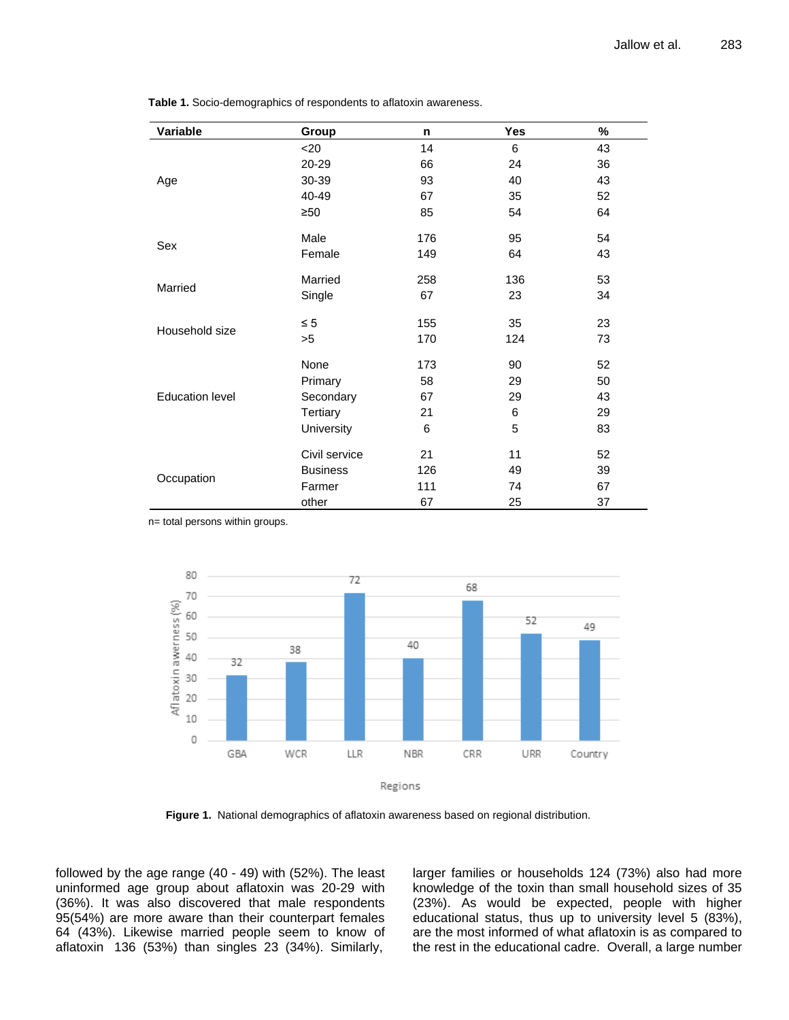| Variable               | Group           | n   | <b>Yes</b> | $\%$ |
|------------------------|-----------------|-----|------------|------|
| Age                    | $20$            | 14  | 6          | 43   |
|                        | 20-29           | 66  | 24         | 36   |
|                        | 30-39           | 93  | 40         | 43   |
|                        | 40-49           | 67  | 35         | 52   |
|                        | ≥50             | 85  | 54         | 64   |
|                        | Male            | 176 | 95         | 54   |
| Sex                    | Female          | 149 | 64         | 43   |
| Married                | Married         | 258 | 136        | 53   |
|                        | Single          | 67  | 23         | 34   |
| Household size         | $\leq 5$        | 155 | 35         | 23   |
|                        | >5              | 170 | 124        | 73   |
| <b>Education level</b> | None            | 173 | 90         | 52   |
|                        | Primary         | 58  | 29         | 50   |
|                        | Secondary       | 67  | 29         | 43   |
|                        | Tertiary        | 21  | 6          | 29   |
|                        | University      | 6   | 5          | 83   |
| Occupation             | Civil service   | 21  | 11         | 52   |
|                        | <b>Business</b> | 126 | 49         | 39   |
|                        | Farmer          | 111 | 74         | 67   |
|                        | other           | 67  | 25         | 37   |

**Table 1.** Socio-demographics of respondents to aflatoxin awareness.

n= total persons within groups.



**Figure 1.**National demographics of aflatoxin awareness based on regional distribution.

followed by the age range (40 - 49) with (52%). The least uninformed age group about aflatoxin was 20-29 with (36%). It was also discovered that male respondents 95(54%) are more aware than their counterpart females 64 (43%). Likewise married people seem to know of aflatoxin 136 (53%) than singles 23 (34%). Similarly,

larger families or households 124 (73%) also had more knowledge of the toxin than small household sizes of 35 (23%). As would be expected, people with higher educational status, thus up to university level 5 (83%), are the most informed of what aflatoxin is as compared to the rest in the educational cadre. Overall, a large number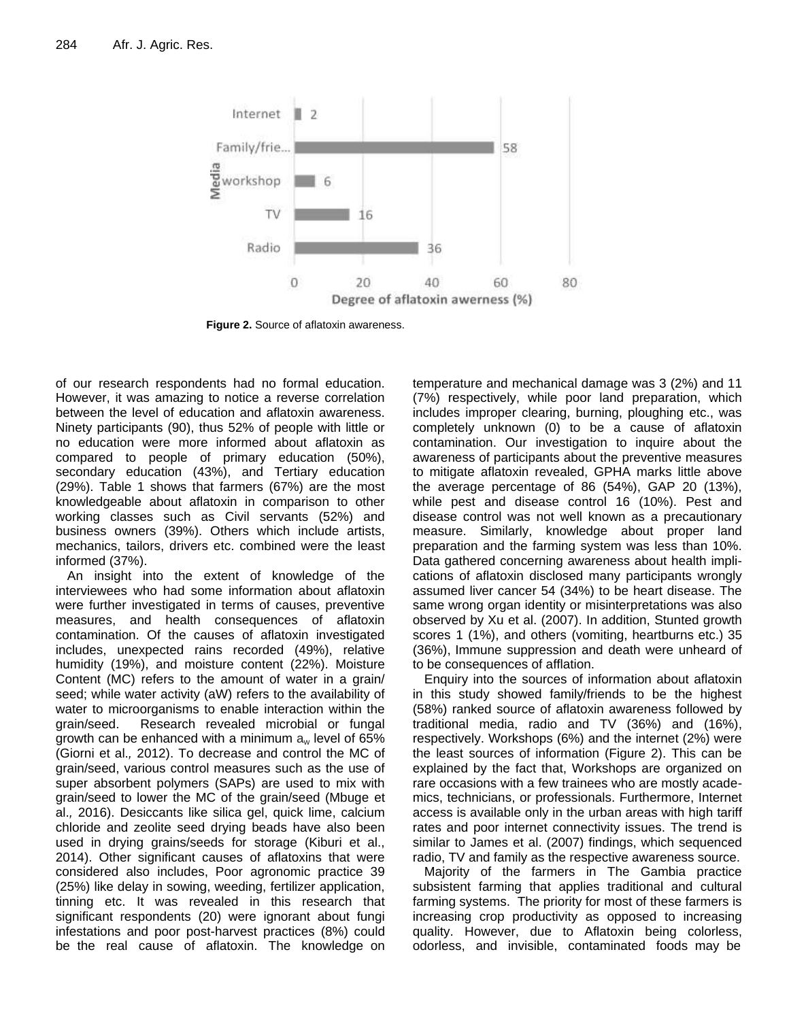

**Figure 2.** Source of aflatoxin awareness.

of our research respondents had no formal education. However, it was amazing to notice a reverse correlation between the level of education and aflatoxin awareness. Ninety participants (90), thus 52% of people with little or no education were more informed about aflatoxin as compared to people of primary education (50%), secondary education (43%), and Tertiary education (29%). Table 1 shows that farmers (67%) are the most knowledgeable about aflatoxin in comparison to other working classes such as Civil servants (52%) and business owners (39%). Others which include artists, mechanics, tailors, drivers etc. combined were the least informed (37%).

An insight into the extent of knowledge of the interviewees who had some information about aflatoxin were further investigated in terms of causes, preventive measures, and health consequences of aflatoxin contamination. Of the causes of aflatoxin investigated includes, unexpected rains recorded (49%), relative humidity (19%), and moisture content (22%). Moisture Content (MC) refers to the amount of water in a grain/ seed; while water activity (aW) refers to the availability of water to microorganisms to enable interaction within the grain/seed. Research revealed microbial or fungal growth can be enhanced with a minimum  $a_w$  level of 65% (Giorni et al.*,* 2012). To decrease and control the MC of grain/seed, various control measures such as the use of super absorbent polymers (SAPs) are used to mix with grain/seed to lower the MC of the grain/seed (Mbuge et al.*,* 2016). Desiccants like silica gel, quick lime, calcium chloride and zeolite seed drying beads have also been used in drying grains/seeds for storage (Kiburi et al., 2014). Other significant causes of aflatoxins that were considered also includes, Poor agronomic practice 39 (25%) like delay in sowing, weeding, fertilizer application, tinning etc. It was revealed in this research that significant respondents (20) were ignorant about fungi infestations and poor post-harvest practices (8%) could be the real cause of aflatoxin. The knowledge on

temperature and mechanical damage was 3 (2%) and 11 (7%) respectively, while poor land preparation, which includes improper clearing, burning, ploughing etc., was completely unknown (0) to be a cause of aflatoxin contamination. Our investigation to inquire about the awareness of participants about the preventive measures to mitigate aflatoxin revealed, GPHA marks little above the average percentage of 86 (54%), GAP 20 (13%), while pest and disease control 16 (10%). Pest and disease control was not well known as a precautionary measure. Similarly, knowledge about proper land preparation and the farming system was less than 10%. Data gathered concerning awareness about health implications of aflatoxin disclosed many participants wrongly assumed liver cancer 54 (34%) to be heart disease. The same wrong organ identity or misinterpretations was also observed by Xu et al. (2007). In addition, Stunted growth scores 1 (1%), and others (vomiting, heartburns etc.) 35 (36%), Immune suppression and death were unheard of to be consequences of afflation.

Enquiry into the sources of information about aflatoxin in this study showed family/friends to be the highest (58%) ranked source of aflatoxin awareness followed by traditional media, radio and TV (36%) and (16%), respectively. Workshops (6%) and the internet (2%) were the least sources of information (Figure 2). This can be explained by the fact that, Workshops are organized on rare occasions with a few trainees who are mostly academics, technicians, or professionals. Furthermore, Internet access is available only in the urban areas with high tariff rates and poor internet connectivity issues. The trend is similar to James et al. (2007) findings, which sequenced radio, TV and family as the respective awareness source.

Majority of the farmers in The Gambia practice subsistent farming that applies traditional and cultural farming systems. The priority for most of these farmers is increasing crop productivity as opposed to increasing quality. However, due to Aflatoxin being colorless, odorless, and invisible, contaminated foods may be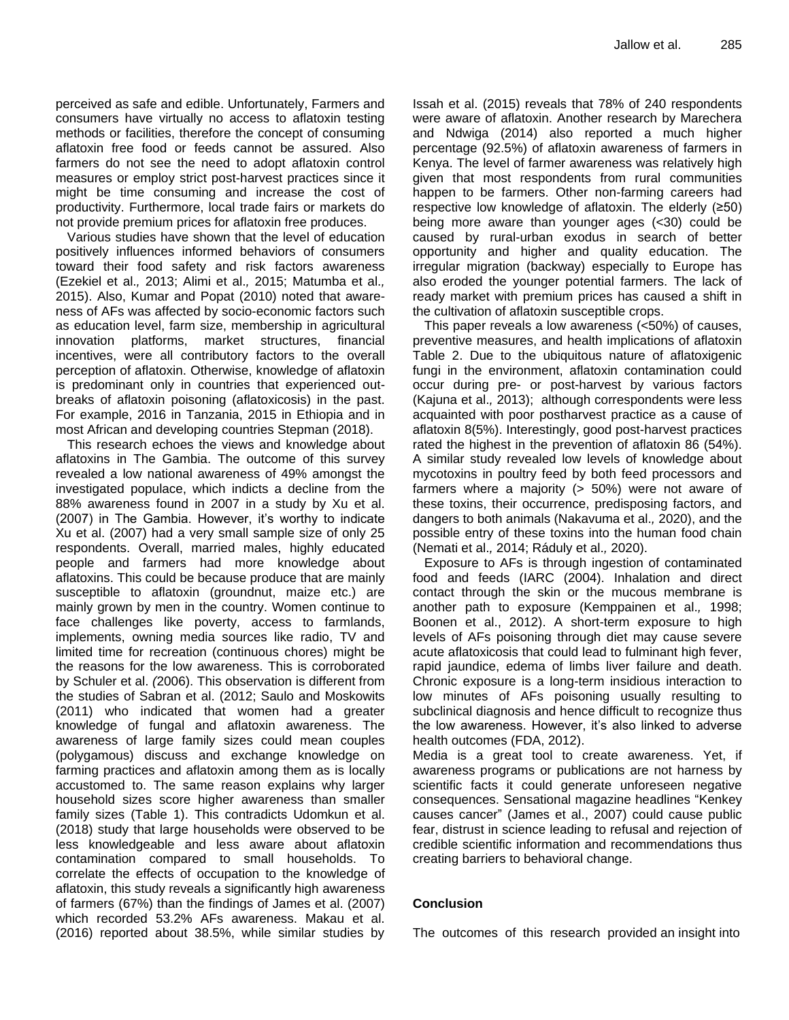perceived as safe and edible. Unfortunately, Farmers and consumers have virtually no access to aflatoxin testing methods or facilities, therefore the concept of consuming aflatoxin free food or feeds cannot be assured. Also farmers do not see the need to adopt aflatoxin control measures or employ strict post-harvest practices since it might be time consuming and increase the cost of productivity. Furthermore, local trade fairs or markets do not provide premium prices for aflatoxin free produces.

Various studies have shown that the level of education positively influences informed behaviors of consumers toward their food safety and risk factors awareness (Ezekiel et al.*,* 2013; Alimi et al.*,* 2015; Matumba et al.*,* 2015). Also, Kumar and Popat (2010) noted that awareness of AFs was affected by socio-economic factors such as education level, farm size, membership in agricultural innovation platforms, market structures, financial incentives, were all contributory factors to the overall perception of aflatoxin. Otherwise, knowledge of aflatoxin is predominant only in countries that experienced outbreaks of aflatoxin poisoning (aflatoxicosis) in the past. For example, 2016 in Tanzania, 2015 in Ethiopia and in most African and developing countries Stepman (2018).

This research echoes the views and knowledge about aflatoxins in The Gambia. The outcome of this survey revealed a low national awareness of 49% amongst the investigated populace, which indicts a decline from the 88% awareness found in 2007 in a study by Xu et al. (2007) in The Gambia. However, it"s worthy to indicate Xu et al. (2007) had a very small sample size of only 25 respondents. Overall, married males, highly educated people and farmers had more knowledge about aflatoxins. This could be because produce that are mainly susceptible to aflatoxin (groundnut, maize etc.) are mainly grown by men in the country. Women continue to face challenges like poverty, access to farmlands, implements, owning media sources like radio, TV and limited time for recreation (continuous chores) might be the reasons for the low awareness. This is corroborated by Schuler et al. *(*2006). This observation is different from the studies of Sabran et al. (2012; Saulo and Moskowits (2011) who indicated that women had a greater knowledge of fungal and aflatoxin awareness. The awareness of large family sizes could mean couples (polygamous) discuss and exchange knowledge on farming practices and aflatoxin among them as is locally accustomed to. The same reason explains why larger household sizes score higher awareness than smaller family sizes (Table 1). This contradicts Udomkun et al. (2018) study that large households were observed to be less knowledgeable and less aware about aflatoxin contamination compared to small households. To correlate the effects of occupation to the knowledge of aflatoxin, this study reveals a significantly high awareness of farmers (67%) than the findings of James et al. (2007) which recorded 53.2% AFs awareness. Makau et al. (2016) reported about 38.5%, while similar studies by

Issah et al. (2015) reveals that 78% of 240 respondents were aware of aflatoxin. Another research by Marechera and Ndwiga (2014) also reported a much higher percentage (92.5%) of aflatoxin awareness of farmers in Kenya. The level of farmer awareness was relatively high given that most respondents from rural communities happen to be farmers. Other non-farming careers had respective low knowledge of aflatoxin. The elderly (≥50) being more aware than younger ages (<30) could be caused by rural-urban exodus in search of better opportunity and higher and quality education. The irregular migration (backway) especially to Europe has also eroded the younger potential farmers. The lack of ready market with premium prices has caused a shift in the cultivation of aflatoxin susceptible crops.

This paper reveals a low awareness (<50%) of causes, preventive measures, and health implications of aflatoxin Table 2. Due to the ubiquitous nature of aflatoxigenic fungi in the environment, aflatoxin contamination could occur during pre- or post-harvest by various factors (Kajuna et al.*,* 2013); although correspondents were less acquainted with poor postharvest practice as a cause of aflatoxin 8(5%). Interestingly, good post-harvest practices rated the highest in the prevention of aflatoxin 86 (54%). A similar study revealed low levels of knowledge about mycotoxins in poultry feed by both feed processors and farmers where a majority (> 50%) were not aware of these toxins, their occurrence, predisposing factors, and dangers to both animals (Nakavuma et al.*,* 2020), and the possible entry of these toxins into the human food chain (Nemati et al.*,* 2014; Ráduly et al.*,* 2020).

Exposure to AFs is through ingestion of contaminated food and feeds (IARC (2004). Inhalation and direct contact through the skin or the mucous membrane is another path to exposure (Kemppainen et al.*,* 1998; Boonen et al., 2012). A short-term exposure to high levels of AFs poisoning through diet may cause severe acute aflatoxicosis that could lead to fulminant high fever, rapid jaundice, edema of limbs liver failure and death. Chronic exposure is a long-term insidious interaction to low minutes of AFs poisoning usually resulting to subclinical diagnosis and hence difficult to recognize thus the low awareness. However, it"s also linked to adverse health outcomes (FDA, 2012).

Media is a great tool to create awareness. Yet, if awareness programs or publications are not harness by scientific facts it could generate unforeseen negative consequences. Sensational magazine headlines "Kenkey causes cancer" (James et al., 2007) could cause public fear, distrust in science leading to refusal and rejection of credible scientific information and recommendations thus creating barriers to behavioral change.

### **Conclusion**

The outcomes of this research provided an insight into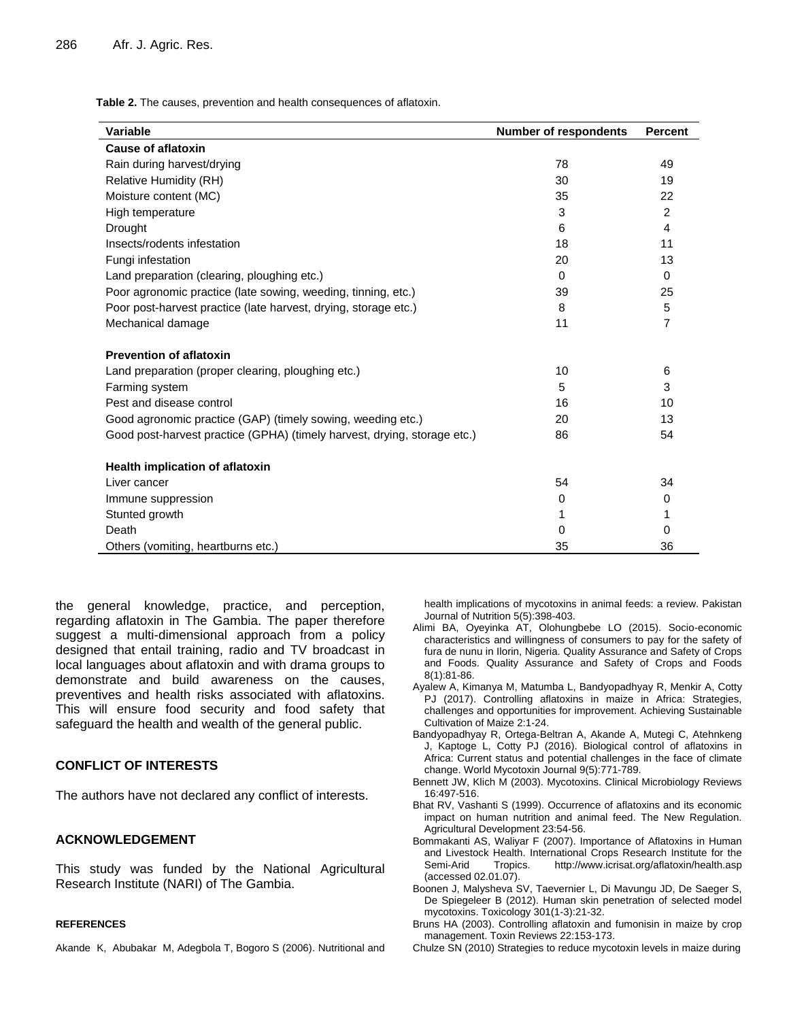**Table 2.** The causes, prevention and health consequences of aflatoxin.

| Variable                                                                 | <b>Number of respondents</b> | <b>Percent</b> |
|--------------------------------------------------------------------------|------------------------------|----------------|
| <b>Cause of aflatoxin</b>                                                |                              |                |
| Rain during harvest/drying                                               | 78                           | 49             |
| Relative Humidity (RH)                                                   | 30                           | 19             |
| Moisture content (MC)                                                    | 35                           | 22             |
| High temperature                                                         | 3                            | $\overline{c}$ |
| Drought                                                                  | 6                            | 4              |
| Insects/rodents infestation                                              | 18                           | 11             |
| Fungi infestation                                                        | 20                           | 13             |
| Land preparation (clearing, ploughing etc.)                              | $\Omega$                     | 0              |
| Poor agronomic practice (late sowing, weeding, tinning, etc.)            | 39                           | 25             |
| Poor post-harvest practice (late harvest, drying, storage etc.)          | 8                            | 5              |
| Mechanical damage                                                        | 11                           | 7              |
| <b>Prevention of aflatoxin</b>                                           |                              |                |
| Land preparation (proper clearing, ploughing etc.)                       | 10                           | 6              |
| Farming system                                                           | 5                            | 3              |
| Pest and disease control                                                 | 16                           | 10             |
| Good agronomic practice (GAP) (timely sowing, weeding etc.)              | 20                           | 13             |
| Good post-harvest practice (GPHA) (timely harvest, drying, storage etc.) | 86                           | 54             |
| Health implication of aflatoxin                                          |                              |                |
| Liver cancer                                                             | 54                           | 34             |
| Immune suppression                                                       | 0                            | 0              |
| Stunted growth                                                           |                              | 1              |
| Death                                                                    | 0                            | 0              |
| Others (vomiting, heartburns etc.)                                       | 35                           | 36             |

the general knowledge, practice, and perception, regarding aflatoxin in The Gambia. The paper therefore suggest a multi-dimensional approach from a policy designed that entail training, radio and TV broadcast in local languages about aflatoxin and with drama groups to demonstrate and build awareness on the causes, preventives and health risks associated with aflatoxins. This will ensure food security and food safety that safeguard the health and wealth of the general public.

## **CONFLICT OF INTERESTS**

The authors have not declared any conflict of interests.

### **ACKNOWLEDGEMENT**

This study was funded by the National Agricultural Research Institute (NARI) of The Gambia.

#### **REFERENCES**

Akande K, Abubakar M, Adegbola T, Bogoro S (2006). Nutritional and

health implications of mycotoxins in animal feeds: a review. Pakistan Journal of Nutrition 5(5):398-403.

- Alimi BA, Oyeyinka AT, Olohungbebe LO (2015). Socio-economic characteristics and willingness of consumers to pay for the safety of fura de nunu in Ilorin, Nigeria. Quality Assurance and Safety of Crops and Foods. Quality Assurance and Safety of Crops and Foods 8(1):81-86.
- Ayalew A, Kimanya M, Matumba L, Bandyopadhyay R, Menkir A, Cotty PJ (2017). Controlling aflatoxins in maize in Africa: Strategies, challenges and opportunities for improvement. Achieving Sustainable Cultivation of Maize 2:1-24.
- Bandyopadhyay R, Ortega-Beltran A, Akande A, Mutegi C, Atehnkeng J, Kaptoge L, Cotty PJ (2016). Biological control of aflatoxins in Africa: Current status and potential challenges in the face of climate change. World Mycotoxin Journal 9(5):771-789.
- Bennett JW, Klich M (2003). Mycotoxins. Clinical Microbiology Reviews 16:497-516.
- Bhat RV, Vashanti S (1999). Occurrence of aflatoxins and its economic impact on human nutrition and animal feed. The New Regulation. Agricultural Development 23:54-56.
- Bommakanti AS, Waliyar F (2007). Importance of Aflatoxins in Human and Livestock Health. International Crops Research Institute for the Semi-Arid Tropics. http://www.icrisat.org/aflatoxin/health.asp (accessed 02.01.07).
- Boonen J, Malysheva SV, Taevernier L, Di Mavungu JD, De Saeger S, De Spiegeleer B (2012). Human skin penetration of selected model mycotoxins. Toxicology 301(1-3):21-32.
- Bruns HA (2003). Controlling aflatoxin and fumonisin in maize by crop management. Toxin Reviews 22:153-173.
- Chulze SN (2010) Strategies to reduce mycotoxin levels in maize during